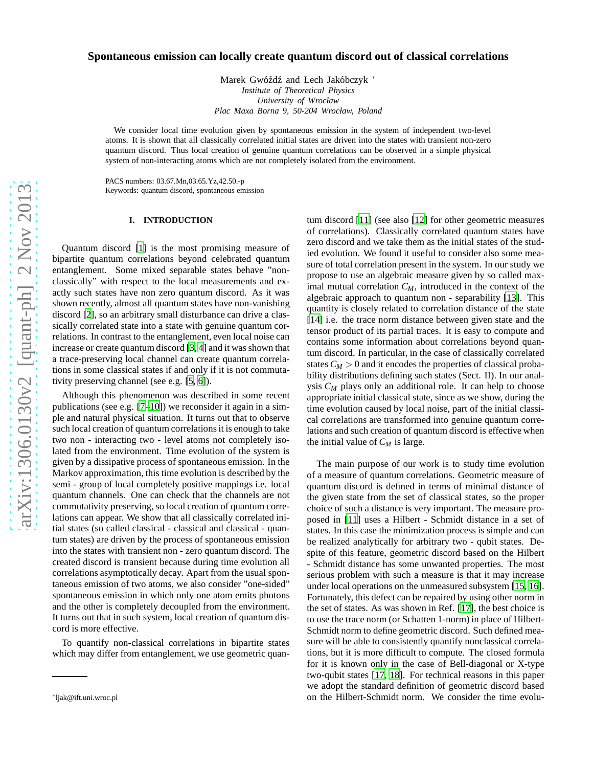# **Spontaneous emission can locally create quantum discord out of classical correlations**

Marek Gwóźdź and Lech Jakóbczyk \* *Institute of Theoretical Physics University of Wrocław Plac Maxa Borna 9, 50-204 Wrocław, Poland*

We consider local time evolution given by spontaneous emission in the system of independent two-level atoms. It is shown that all classically correlated initial states are driven into the states with transient non-zero quantum discord. Thus local creation of genuine quantum correlations can be observed in a simple physical system of non-interacting atoms which are not completely isolated from the environment.

PACS numbers: 03.67.Mn,03.65.Yz,42.50.-p Keywords: quantum discord, spontaneous emission

#### **I. INTRODUCTION**

Quantum discord [\[1\]](#page-5-0) is the most promising measure of bipartite quantum correlations beyond celebrated quantum entanglement. Some mixed separable states behave "nonclassically" with respect to the local measurements and exactly such states have non zero quantum discord. As it was shown recently, almost all quantum states have non-vanishing discord [\[2](#page-5-1)], so an arbitrary small disturbance can drive a classically correlated state into a state with genuine quantum correlations. In contrast to the entanglement, even local noise can increase or create quantum discord [\[3,](#page-5-2) [4](#page-5-3)] and it was shown that a trace-preserving local channel can create quantum correlations in some classical states if and only if it is not commutativity preserving channel (see e.g. [\[5,](#page-5-4) [6\]](#page-5-5)).

Although this phenomenon was described in some recent publications (see e.g.  $[7-10]$  $[7-10]$ ) we reconsider it again in a simple and natural physical situation. It turns out that to observe such local creation of quantum correlations it is enough to take two non - interacting two - level atoms not completely isolated from the environment. Time evolution of the system is given by a dissipative process of spontaneous emission. In the Markov approximation, this time evolution is described by the semi - group of local completely positive mappings i.e. local quantum channels. One can check that the channels are not commutativity preserving, so local creation of quantum correlations can appear. We show that all classically correlated initial states (so called classical - classical and classical - quantum states) are driven by the process of spontaneous emission into the states with transient non - zero quantum discord. The created discord is transient because during time evolution all correlations asymptotically decay. Apart from the usual spontaneous emission of two atoms, we also consider "one-sided" spontaneous emission in which only one atom emits photons and the other is completely decoupled from the environment. It turns out that in such system, local creation of quantum discord is more effective.

To quantify non-classical correlations in bipartite states which may differ from entanglement, we use geometric quantum discord [\[11\]](#page-5-8) (see also [\[12](#page-5-9)] for other geometric measures of correlations). Classically correlated quantum states have zero discord and we take them as the initial states of the studied evolution. We found it useful to consider also some measure of total correlation present in the system. In our study we propose to use an algebraic measure given by so called maximal mutual correlation  $C_M$ , introduced in the context of the algebraic approach to quantum non - separability [\[13](#page-5-10)]. This quantity is closely related to correlation distance of the state [\[14](#page-5-11)] i.e. the trace norm distance between given state and the tensor product of its partial traces. It is easy to compute and contains some information about correlations beyond quantum discord. In particular, in the case of classically correlated states  $C_M > 0$  and it encodes the properties of classical probability distributions defining such states (Sect. II). In our analysis *C<sup>M</sup>* plays only an additional role. It can help to choose appropriate initial classical state, since as we show, during the time evolution caused by local noise, part of the initial classical correlations are transformed into genuine quantum correlations and such creation of quantum discord is effective when the initial value of *C<sup>M</sup>* is large.

The main purpose of our work is to study time evolution of a measure of quantum correlations. Geometric measure of quantum discord is defined in terms of minimal distance of the given state from the set of classical states, so the proper choice of such a distance is very important. The measure proposed in [\[11](#page-5-8)] uses a Hilbert - Schmidt distance in a set of states. In this case the minimization process is simple and can be realized analytically for arbitrary two - qubit states. Despite of this feature, geometric discord based on the Hilbert - Schmidt distance has some unwanted properties. The most serious problem with such a measure is that it may increase under local operations on the unmeasured subsystem [\[15,](#page-5-12) [16](#page-5-13)]. Fortunately, this defect can be repaired by using other norm in the set of states. As was shown in Ref. [\[17](#page-5-14)], the best choice is to use the trace norm (or Schatten 1-norm) in place of Hilbert-Schmidt norm to define geometric discord. Such defined measure will be able to consistently quantify nonclassical correlations, but it is more difficult to compute. The closed formula for it is known only in the case of Bell-diagonal or X-type two-qubit states [\[17](#page-5-14), [18\]](#page-5-15). For technical reasons in this paper we adopt the standard definition of geometric discord based on the Hilbert-Schmidt norm. We consider the time evolu-

<sup>∗</sup> ljak@ift.uni.wroc.pl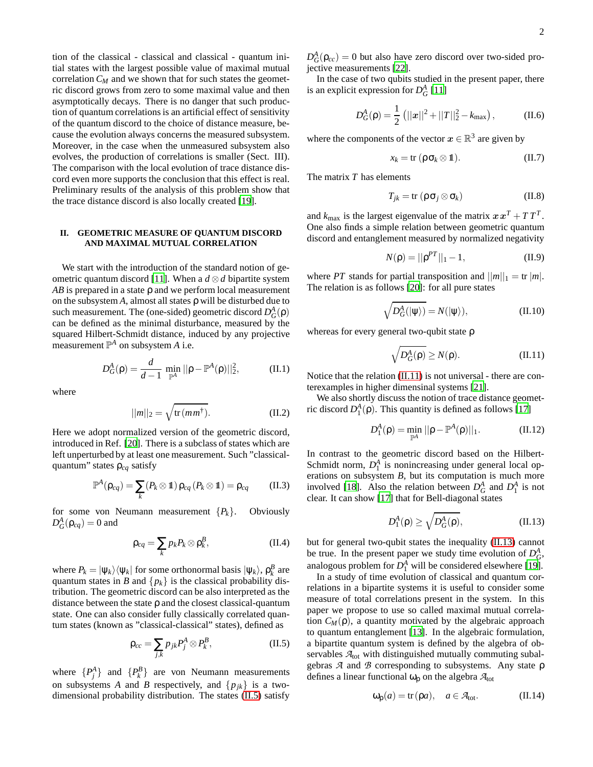tion of the classical - classical and classical - quantum initial states with the largest possible value of maximal mutual correlation  $C_M$  and we shown that for such states the geometric discord grows from zero to some maximal value and then asymptotically decays. There is no danger that such production of quantum correlations is an artificial effect of sensitivity of the quantum discord to the choice of distance measure, because the evolution always concerns the measured subsystem. Moreover, in the case when the unmeasured subsystem also evolves, the production of correlations is smaller (Sect. III). The comparison with the local evolution of trace distance discord even more supports the conclusion that this effect is real. Preliminary results of the analysis of this problem show that the trace distance discord is also locally created [\[19](#page-5-16)].

## **II. GEOMETRIC MEASURE OF QUANTUM DISCORD AND MAXIMAL MUTUAL CORRELATION**

We start with the introduction of the standard notion of ge-ometric quantum discord [\[11\]](#page-5-8). When a  $d \otimes d$  bipartite system *AB* is prepared in a state ρ and we perform local measurement on the subsystem  $A$ , almost all states  $\rho$  will be disturbed due to such measurement. The (one-sided) geometric discord  $D_G^A(\rho)$ can be defined as the minimal disturbance, measured by the squared Hilbert-Schmidt distance, induced by any projective measurement  $\mathbb{P}^A$  on subsystem *A* i.e.

$$
D_G^A(\rho) = \frac{d}{d-1} \min_{\mathbb{P}^A} ||\rho - \mathbb{P}^A(\rho)||_2^2, \quad (II.1)
$$

where

$$
||m||_2 = \sqrt{\text{tr}(mm^{\dagger})}.
$$
 (II.2)

Here we adopt normalized version of the geometric discord, introduced in Ref. [\[20\]](#page-5-17). There is a subclass of states which are left unperturbed by at least one measurement. Such "classicalquantum" states ρ*cq* satisfy

$$
\mathbb{P}^A(\rho_{cq}) = \sum_k (P_k \otimes \mathbb{1}) \rho_{cq} (P_k \otimes \mathbb{1}) = \rho_{cq} \qquad (\text{II}.3)
$$

for some von Neumann measurement  ${P_k}$ . Obviously  $D_G^A(\rho_{cq}) = 0$  and

<span id="page-1-3"></span>
$$
\rho_{cq} = \sum_{k} p_k P_k \otimes \rho_k^B, \qquad (\text{II}.4)
$$

where  $P_k = |\psi_k\rangle\langle\psi_k|$  for some orthonormal basis  $|\psi_k\rangle$ ,  $\rho_k^B$  are quantum states in *B* and  $\{p_k\}$  is the classical probability distribution. The geometric discord can be also interpreted as the distance between the state ρ and the closest classical-quantum state. One can also consider fully classically correlated quantum states (known as "classical-classical" states), defined as

<span id="page-1-0"></span>
$$
\rho_{cc} = \sum_{j,k} p_{jk} P_j^A \otimes P_k^B, \tag{II.5}
$$

where  $\{P_j^A\}$  and  $\{P_k^B\}$  are von Neumann measurements on subsystems *A* and *B* respectively, and  $\{p_{jk}\}\$ is a twodimensional probability distribution. The states [\(II.5\)](#page-1-0) satisfy

 $D_G^A(\rho_{cc}) = 0$  but also have zero discord over two-sided projective measurements [\[22\]](#page-5-18).

In the case of two qubits studied in the present paper, there is an explicit expression for  $D_G^A$  [\[11](#page-5-8)]

$$
D_G^A(\rho) = \frac{1}{2} (||x||^2 + ||T||_2^2 - k_{\text{max}}), \qquad (II.6)
$$

where the components of the vector  $x \in \mathbb{R}^3$  are given by

$$
x_k = \text{tr} \, (\rho \, \sigma_k \otimes 1\!\!1). \tag{II.7}
$$

The matrix *T* has elements

$$
T_{jk} = \text{tr} \left( \rho \sigma_j \otimes \sigma_k \right) \tag{II.8}
$$

and  $k_{\text{max}}$  is the largest eigenvalue of the matrix  $x x^T + T T^T$ . One also finds a simple relation between geometric quantum discord and entanglement measured by normalized negativity

$$
N(\rho) = ||\rho^{PT}||_1 - 1,
$$
 (II.9)

where *PT* stands for partial transposition and  $||m||_1 = \text{tr } |m|$ . The relation is as follows [\[20](#page-5-17)]: for all pure states

$$
\sqrt{D_G^A(|\psi\rangle)} = N(|\psi\rangle),\tag{II.10}
$$

whereas for every general two-qubit state ρ

<span id="page-1-1"></span>
$$
\sqrt{D_G^A(\rho)} \ge N(\rho). \tag{II.11}
$$

Notice that the relation [\(II.11\)](#page-1-1) is not universal - there are conterexamples in higher dimensinal systems [\[21](#page-5-19)].

We also shortly discuss the notion of trace distance geometric discord  $D_1^A(\rho)$ . This quantity is defined as follows [\[17\]](#page-5-14)

$$
D_1^A(\rho) = \min_{\mathbb{P}^A} ||\rho - \mathbb{P}^A(\rho)||_1.
$$
 (II.12)

In contrast to the geometric discord based on the Hilbert-Schmidt norm,  $D_1^A$  is nonincreasing under general local operations on subsystem *B*, but its computation is much more involved [\[18\]](#page-5-15). Also the relation between  $D_G^A$  and  $D_1^A$  is not clear. It can show [\[17\]](#page-5-14) that for Bell-diagonal states

<span id="page-1-2"></span>
$$
D_1^A(\rho) \ge \sqrt{D_G^A(\rho)},\tag{II.13}
$$

but for general two-qubit states the inequality [\(II.13\)](#page-1-2) cannot be true. In the present paper we study time evolution of  $D_G^A$ , analogous problem for  $D_1^A$  will be considered elsewhere [\[19](#page-5-16)].

In a study of time evolution of classical and quantum correlations in a bipartite systems it is useful to consider some measure of total correlations present in the system. In this paper we propose to use so called maximal mutual correlation  $C_M(\rho)$ , a quantity motivated by the algebraic approach to quantum entanglement [\[13\]](#page-5-10). In the algebraic formulation, a bipartite quantum system is defined by the algebra of observables  $A<sub>tot</sub>$  with distinguished mutually commuting subalgebras *A* and *B* corresponding to subsystems. Any state ρ defines a linear functional  $\omega_0$  on the algebra  $A_{\text{tot}}$ 

$$
\omega_{\mathsf{p}}(a) = \text{tr}(\mathsf{p}a), \quad a \in \mathcal{A}_{\text{tot}}.\tag{II.14}
$$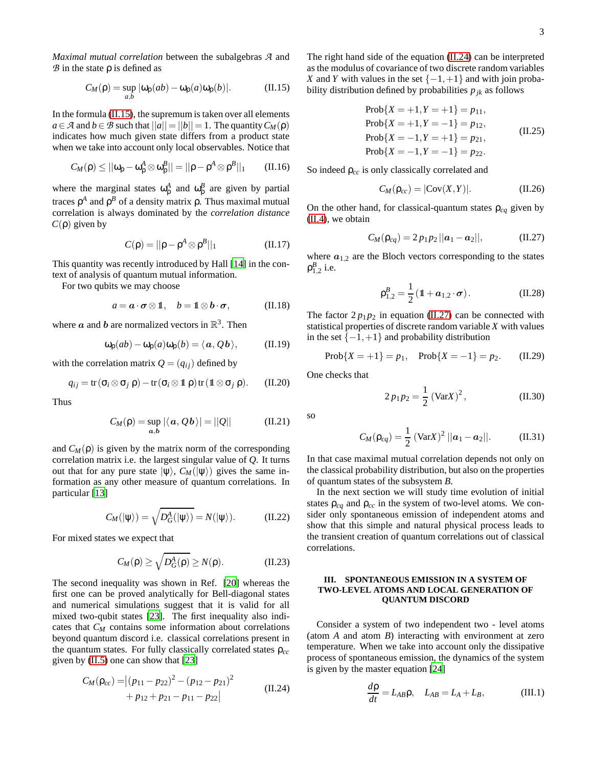*Maximal mutual correlation* between the subalgebras *A* and *B* in the state ρ is defined as

<span id="page-2-0"></span>
$$
C_M(\rho) = \sup_{a,b} |\omega_\rho(ab) - \omega_\rho(a)\omega_\rho(b)|. \tag{II.15}
$$

In the formula [\(II.15\)](#page-2-0), the supremum is taken over all elements  $a \in \mathcal{A}$  and  $b \in \mathcal{B}$  such that  $||a|| = ||b|| = 1$ . The quantity  $C_M(\rho)$ indicates how much given state differs from a product state when we take into account only local observables. Notice that

$$
C_M(\rho) \leq ||\omega_{\rho} - \omega_{\rho}^A \otimes \omega_{\rho}^B|| = ||\rho - \rho^A \otimes \rho^B||_1 \qquad (II.16)
$$

where the marginal states  $\omega_{\rho}^A$  and  $\omega_{\rho}^B$  are given by partial traces  $ρ<sup>A</sup>$  and  $ρ<sup>B</sup>$  of a density matrix  $ρ$ . Thus maximal mutual correlation is always dominated by the *correlation distance C*(ρ) given by

$$
C(\rho) = ||\rho - \rho^A \otimes \rho^B||_1 \tag{II.17}
$$

This quantity was recently introduced by Hall [\[14](#page-5-11)] in the context of analysis of quantum mutual information.

For two qubits we may choose

$$
a = \mathbf{a} \cdot \boldsymbol{\sigma} \otimes \mathbf{1}, \quad b = \mathbf{1} \otimes \mathbf{b} \cdot \boldsymbol{\sigma}, \quad (\text{II}.18)
$$

where  $\boldsymbol{a}$  and  $\boldsymbol{b}$  are normalized vectors in  $\mathbb{R}^3$ . Then

$$
\omega_{\mathsf{p}}(ab) - \omega_{\mathsf{p}}(a)\omega_{\mathsf{p}}(b) = \langle a, Qb \rangle, \quad (\text{II.19})
$$

with the correlation matrix  $Q = (q_{ij})$  defined by

$$
q_{ij} = \text{tr}(\sigma_i \otimes \sigma_j \rho) - \text{tr}(\sigma_i \otimes \mathbb{1} \rho) \text{tr}(\mathbb{1} \otimes \sigma_j \rho). \qquad (II.20)
$$

Thus

$$
C_M(\rho) = \sup_{a,b} |\langle a, Qb \rangle| = ||Q|| \qquad (II.21)
$$

and  $C_M(\rho)$  is given by the matrix norm of the corresponding correlation matrix i.e. the largest singular value of *Q*. It turns out that for any pure state  $|\psi\rangle$ ,  $C_M(|\psi\rangle)$  gives the same information as any other measure of quantum correlations. In particular [\[13\]](#page-5-10)

$$
C_M(|\psi\rangle) = \sqrt{D_G^A(|\psi\rangle)} = N(|\psi\rangle). \tag{II.22}
$$

For mixed states we expect that

<span id="page-2-4"></span>
$$
C_M(\rho) \ge \sqrt{D_G^A(\rho)} \ge N(\rho). \tag{II.23}
$$

The second inequality was shown in Ref. [\[20\]](#page-5-17) whereas the first one can be proved analytically for Bell-diagonal states and numerical simulations suggest that it is valid for all mixed two-qubit states [\[23\]](#page-5-20). The first inequality also indicates that *C<sup>M</sup>* contains some information about correlations beyond quantum discord i.e. classical correlations present in the quantum states. For fully classically correlated states ρ*cc* given by [\(II.5\)](#page-1-0) one can show that [\[23](#page-5-20)]

<span id="page-2-1"></span>
$$
C_M(\mathsf{p}_{cc}) = |(p_{11} - p_{22})^2 - (p_{12} - p_{21})^2
$$
  
+  $p_{12} + p_{21} - p_{11} - p_{22}|$  (II.24)

The right hand side of the equation [\(II.24\)](#page-2-1) can be interpreted as the modulus of covariance of two discrete random variables *X* and *Y* with values in the set  $\{-1, +1\}$  and with join probability distribution defined by probabilities  $p_{jk}$  as follows

$$
\begin{aligned}\n\text{Prob}\{X = +1, Y = +1\} &= p_{11}, \\
\text{Prob}\{X = +1, Y = -1\} &= p_{12}, \\
\text{Prob}\{X = -1, Y = +1\} &= p_{21}, \\
\text{Prob}\{X = -1, Y = -1\} &= p_{22}.\n\end{aligned} \tag{II.25}
$$

So indeed ρ*cc* is only classically correlated and

$$
C_M(\rho_{cc}) = |\text{Cov}(X, Y)|. \tag{II.26}
$$

On the other hand, for classical-quantum states  $\rho_{cq}$  given by [\(II.4\)](#page-1-3), we obtain

<span id="page-2-2"></span>
$$
C_M(\rho_{cq}) = 2 p_1 p_2 ||\mathbf{a}_1 - \mathbf{a}_2||, \qquad (II.27)
$$

where  $a_{1,2}$  are the Bloch vectors corresponding to the states  $\rho_{1,2}^{B}$  i.e.

<span id="page-2-3"></span>
$$
\rho_{1,2}^B = \frac{1}{2} (1 + a_{1,2} \cdot \sigma). \tag{II.28}
$$

The factor  $2p_1p_2$  in equation [\(II.27\)](#page-2-2) can be connected with statistical properties of discrete random variable *X* with values in the set  $\{-1,+1\}$  and probability distribution

$$
Prob{X = +1} = p_1, Prob{X = -1} = p_2.
$$
 (II.29)

One checks that

$$
2 p_1 p_2 = \frac{1}{2} (\text{Var} X)^2, \qquad (\text{II}.30)
$$

so

<span id="page-2-5"></span>
$$
C_M(\rho_{cq}) = \frac{1}{2} \left( \text{Var} X \right)^2 ||\boldsymbol{a}_1 - \boldsymbol{a}_2||. \quad (\text{II}.31)
$$

In that case maximal mutual correlation depends not only on the classical probability distribution, but also on the properties of quantum states of the subsystem *B*.

In the next section we will study time evolution of initial states  $\rho_{cq}$  and  $\rho_{cc}$  in the system of two-level atoms. We consider only spontaneous emission of independent atoms and show that this simple and natural physical process leads to the transient creation of quantum correlations out of classical correlations.

## **III. SPONTANEOUS EMISSION IN A SYSTEM OF TWO-LEVEL ATOMS AND LOCAL GENERATION OF QUANTUM DISCORD**

Consider a system of two independent two - level atoms (atom *A* and atom *B*) interacting with environment at zero temperature. When we take into account only the dissipative process of spontaneous emission, the dynamics of the system is given by the master equation [\[24\]](#page-5-21)

$$
\frac{d\rho}{dt} = L_{AB}\rho, \quad L_{AB} = L_A + L_B,\tag{III.1}
$$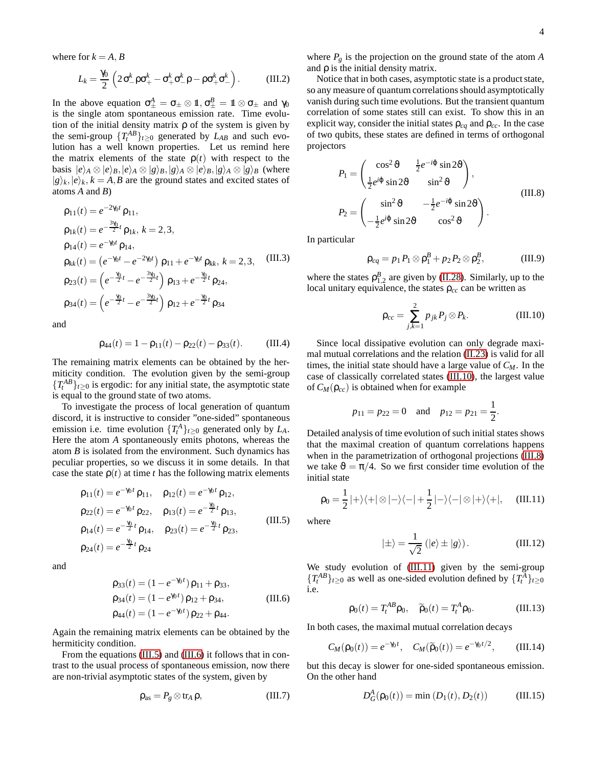where for  $k = A, B$ 

$$
L_k = \frac{\gamma_0}{2} \left( 2 \sigma_-^k \rho \sigma_+^k - \sigma_+^k \sigma_-^k \rho - \rho \sigma_+^k \sigma_-^k \right). \tag{III.2}
$$

In the above equation  $\sigma_{\pm}^A = \sigma_{\pm} \otimes \mathbb{1}, \sigma_{\pm}^B = \mathbb{1} \otimes \sigma_{\pm}$  and  $\gamma_0$ is the single atom spontaneous emission rate. Time evolution of the initial density matrix  $\rho$  of the system is given by the semi-group  $\{T_t^{AB}\}_{t\geq 0}$  generated by  $L_{AB}$  and such evolution has a well known properties. Let us remind here the matrix elements of the state  $\rho(t)$  with respect to the basis  $|e\rangle_A \otimes |e\rangle_B, |e\rangle_A \otimes |g\rangle_B, |g\rangle_A \otimes |e\rangle_B, |g\rangle_A \otimes |g\rangle_B$  (where  $|g\rangle_k, |e\rangle_k, k = A, B$  are the ground states and excited states of atoms *A* and *B*)

$$
\rho_{11}(t) = e^{-2\gamma_0 t} \rho_{11},
$$
\n
$$
\rho_{1k}(t) = e^{-\frac{3\gamma_0}{2}t} \rho_{1k}, k = 2, 3,
$$
\n
$$
\rho_{14}(t) = e^{-\gamma_0 t} \rho_{14},
$$
\n
$$
\rho_{kk}(t) = (e^{-\gamma_0 t} - e^{-2\gamma_0 t}) \rho_{11} + e^{-\gamma_0 t} \rho_{kk}, k = 2, 3,
$$
\n(III.3)\n
$$
\rho_{23}(t) = \left(e^{-\frac{\gamma_0}{2}t} - e^{-\frac{3\gamma_0}{2}t}\right) \rho_{13} + e^{-\frac{\gamma_0}{2}t} \rho_{24},
$$
\n
$$
\rho_{34}(t) = \left(e^{-\frac{\gamma_0}{2}t} - e^{-\frac{3\gamma_0}{2}t}\right) \rho_{12} + e^{-\frac{\gamma_0}{2}t} \rho_{34}
$$

and

$$
\rho_{44}(t) = 1 - \rho_{11}(t) - \rho_{22}(t) - \rho_{33}(t). \tag{III.4}
$$

The remaining matrix elements can be obtained by the hermiticity condition. The evolution given by the semi-group  ${T_t^{AB}}_{t\geq0}$  is ergodic: for any initial state, the asymptotic state is equal to the ground state of two atoms.

To investigate the process of local generation of quantum discord, it is instructive to consider "one-sided" spontaneous emission i.e. time evolution  $\{T_t^A\}_{t\geq 0}$  generated only by  $L_A$ . Here the atom *A* spontaneously emits photons, whereas the atom *B* is isolated from the environment. Such dynamics has peculiar properties, so we discuss it in some details. In that case the state  $\rho(t)$  at time *t* has the following matrix elements

<span id="page-3-0"></span>
$$
\rho_{11}(t) = e^{-\gamma_0 t} \rho_{11}, \quad \rho_{12}(t) = e^{-\gamma_0 t} \rho_{12},
$$
  
\n
$$
\rho_{22}(t) = e^{-\gamma_0 t} \rho_{22}, \quad \rho_{13}(t) = e^{-\frac{\gamma_0}{2}t} \rho_{13},
$$
  
\n
$$
\rho_{14}(t) = e^{-\frac{\gamma_0}{2}t} \rho_{14}, \quad \rho_{23}(t) = e^{-\frac{\gamma_0}{2}t} \rho_{23},
$$
  
\n
$$
\rho_{24}(t) = e^{-\frac{\gamma_0}{2}t} \rho_{24}
$$
\n(III.5)

<span id="page-3-1"></span>and

$$
\rho_{33}(t) = (1 - e^{-\gamma_0 t}) \rho_{11} + \rho_{33},
$$
  
\n
$$
\rho_{34}(t) = (1 - e^{\gamma_0 t}) \rho_{12} + \rho_{34},
$$
  
\n
$$
\rho_{44}(t) = (1 - e^{-\gamma_0 t}) \rho_{22} + \rho_{44}.
$$
\n(III.6)

Again the remaining matrix elements can be obtained by the hermiticity condition.

From the equations [\(III.5\)](#page-3-0) and [\(III.6\)](#page-3-1) it follows that in contrast to the usual process of spontaneous emission, now there are non-trivial asymptotic states of the system, given by

$$
\rho_{\rm as} = P_g \otimes \text{tr}_A \,\rho,\tag{III.7}
$$

where  $P_g$  is the projection on the ground state of the atom  $A$ and  $\rho$  is the initial density matrix.

Notice that in both cases, asymptotic state is a product state, so any measure of quantum correlations should asymptotically vanish during such time evolutions. But the transient quantum correlation of some states still can exist. To show this in an explicit way, consider the initial states  $\rho_{cq}$  and  $\rho_{cc}$ . In the case of two qubits, these states are defined in terms of orthogonal projectors

<span id="page-3-3"></span>
$$
P_1 = \begin{pmatrix} \cos^2 \vartheta & \frac{1}{2} e^{-i\varphi} \sin 2\vartheta \\ \frac{1}{2} e^{i\varphi} \sin 2\vartheta & \sin^2 \vartheta \end{pmatrix},
$$
  
\n
$$
P_2 = \begin{pmatrix} \sin^2 \vartheta & -\frac{1}{2} e^{-i\varphi} \sin 2\vartheta \\ -\frac{1}{2} e^{i\varphi} \sin 2\vartheta & \cos^2 \vartheta \end{pmatrix}.
$$
 (III.8)

In particular

<span id="page-3-5"></span>
$$
\rho_{cq} = p_1 P_1 \otimes \rho_1^B + p_2 P_2 \otimes \rho_2^B, \qquad \text{(III.9)}
$$

where the states  $\rho_{1,2}^B$  are given by [\(II.28\)](#page-2-3). Similarly, up to the local unitary equivalence, the states  $\rho_{cc}$  can be written as

<span id="page-3-2"></span>
$$
\rho_{cc} = \sum_{j,k=1}^{2} p_{jk} P_j \otimes P_k. \tag{III.10}
$$

Since local dissipative evolution can only degrade maximal mutual correlations and the relation [\(II.23\)](#page-2-4) is valid for all times, the initial state should have a large value of *CM*. In the case of classically correlated states [\(III.10\)](#page-3-2), the largest value of  $C_M(\rho_{cc})$  is obtained when for example

$$
p_{11} = p_{22} = 0
$$
 and  $p_{12} = p_{21} = \frac{1}{2}$ .

Detailed analysis of time evolution of such initial states shows that the maximal creation of quantum correlations happens when in the parametrization of orthogonal projections [\(III.8\)](#page-3-3) we take  $\vartheta = \pi/4$ . So we first consider time evolution of the initial state

<span id="page-3-4"></span>
$$
\rho_0 = \frac{1}{2}|+\rangle\langle+| \otimes |-\rangle\langle-|+\frac{1}{2}|-\rangle\langle-| \otimes |+\rangle\langle+|,\quad \text{(III.11)}
$$

where

$$
|\pm\rangle = \frac{1}{\sqrt{2}} (|e\rangle \pm |g\rangle).
$$
 (III.12)

We study evolution of [\(III.11\)](#page-3-4) given by the semi-group  $\{T_t^{AB}\}_{t\geq 0}$  as well as one-sided evolution defined by  $\{T_t^A\}_{t\geq 0}$ i.e.

$$
\rho_0(t) = T_t^{AB}\rho_0, \quad \widetilde{\rho}_0(t) = T_t^A \rho_0. \tag{III.13}
$$

In both cases, the maximal mutual correlation decays

$$
C_M(\rho_0(t)) = e^{-\gamma_0 t}, \quad C_M(\widetilde{\rho}_0(t)) = e^{-\gamma_0 t/2}, \quad \text{(III.14)}
$$

but this decay is slower for one-sided spontaneous emission. On the other hand

$$
D_G^A(p_0(t)) = \min (D_1(t), D_2(t))
$$
 (III.15)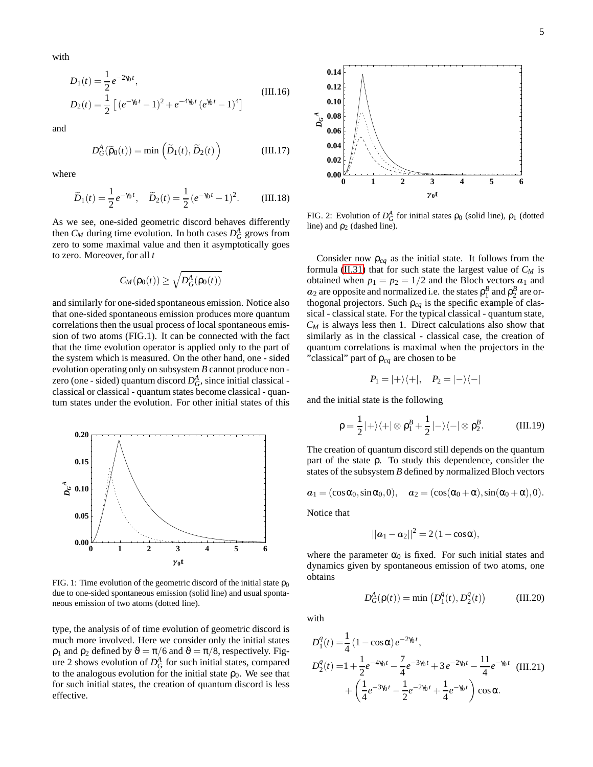with

$$
D_1(t) = \frac{1}{2} e^{-2\gamma_0 t},
$$
  
\n
$$
D_2(t) = \frac{1}{2} \left[ (e^{-\gamma_0 t} - 1)^2 + e^{-4\gamma_0 t} (e^{\gamma_0 t} - 1)^4 \right]
$$
\n(III.16)

and

$$
D_G^A(\widetilde{\rho}_0(t)) = \min\left(\widetilde{D}_1(t), \widetilde{D}_2(t)\right) \tag{III.17}
$$

where

$$
\widetilde{D}_1(t) = \frac{1}{2} e^{-\gamma_0 t}, \quad \widetilde{D}_2(t) = \frac{1}{2} (e^{-\gamma_0 t} - 1)^2.
$$
 (III.18)

As we see, one-sided geometric discord behaves differently then  $C_M$  during time evolution. In both cases  $D_G^A$  grows from zero to some maximal value and then it asymptotically goes to zero. Moreover, for all *t*

$$
C_M(\mathsf{p}_0(t)) \geq \sqrt{D^A_G(\mathsf{p}_0(t))}
$$

and similarly for one-sided spontaneous emission. Notice also that one-sided spontaneous emission produces more quantum correlations then the usual process of local spontaneous emission of two atoms (FIG.1). It can be connected with the fact that the time evolution operator is applied only to the part of the system which is measured. On the other hand, one - sided evolution operating only on subsystem *B* cannot produce non zero (one - sided) quantum discord  $D_G^A$ , since initial classical classical or classical - quantum states become classical - quantum states under the evolution. For other initial states of this



FIG. 1: Time evolution of the geometric discord of the initial state  $\rho_0$ due to one-sided spontaneous emission (solid line) and usual spontaneous emission of two atoms (dotted line).

type, the analysis of of time evolution of geometric discord is much more involved. Here we consider only the initial states  $\rho_1$  and  $\rho_2$  defined by  $\vartheta = \pi/6$  and  $\vartheta = \pi/8$ , respectively. Figure 2 shows evolution of  $D_G^A$  for such initial states, compared to the analogous evolution for the initial state  $\rho_0$ . We see that for such initial states, the creation of quantum discord is less effective.



FIG. 2: Evolution of  $D_G^A$  for initial states  $\rho_0$  (solid line),  $\rho_1$  (dotted line) and  $\rho_2$  (dashed line).

Consider now  $\rho_{cq}$  as the initial state. It follows from the formula [\(II.31\)](#page-2-5) that for such state the largest value of *C<sup>M</sup>* is obtained when  $p_1 = p_2 = 1/2$  and the Bloch vectors  $a_1$  and  $a_2$  are opposite and normalized i.e. the states  $\rho_1^B$  and  $\rho_2^B$  are orthogonal projectors. Such  $\rho_{cq}$  is the specific example of classical - classical state. For the typical classical - quantum state,  $C_M$  is always less then 1. Direct calculations also show that similarly as in the classical - classical case, the creation of quantum correlations is maximal when the projectors in the "classical" part of ρ*cq* are chosen to be

$$
P_1=|+\rangle\langle+|, \quad P_2=|-\rangle\langle-|
$$

and the initial state is the following

$$
\rho = \frac{1}{2} |+\rangle\langle+| \otimes \rho_1^B + \frac{1}{2} |-\rangle\langle-| \otimes \rho_2^B. \quad (III.19)
$$

The creation of quantum discord still depends on the quantum part of the state ρ. To study this dependence, consider the states of the subsystem *B* defined by normalized Bloch vectors

$$
a_1 = (\cos \alpha_0, \sin \alpha_0, 0), \quad a_2 = (\cos(\alpha_0 + \alpha), \sin(\alpha_0 + \alpha), 0).
$$

Notice that

$$
||\boldsymbol{a}_1-\boldsymbol{a}_2||^2=2(1-\cos\alpha),
$$

where the parameter  $\alpha_0$  is fixed. For such initial states and dynamics given by spontaneous emission of two atoms, one obtains

 $_1^q(t)$ ,  $D_2^q$ 

 $\binom{q}{2}(t)$ 

(III.20)

 $D_G^A(\rho(t)) = \min (D_1^q)$ 

with

$$
D_1^q(t) = \frac{1}{4} (1 - \cos \alpha) e^{-2\gamma_0 t},
$$
  
\n
$$
D_2^q(t) = 1 + \frac{1}{2} e^{-4\gamma_0 t} - \frac{7}{4} e^{-3\gamma_0 t} + 3 e^{-2\gamma_0 t} - \frac{11}{4} e^{-\gamma_0 t} \quad (III.21)
$$
  
\n
$$
+ \left(\frac{1}{4} e^{-3\gamma_0 t} - \frac{1}{2} e^{-2\gamma_0 t} + \frac{1}{4} e^{-\gamma_0 t}\right) \cos \alpha.
$$